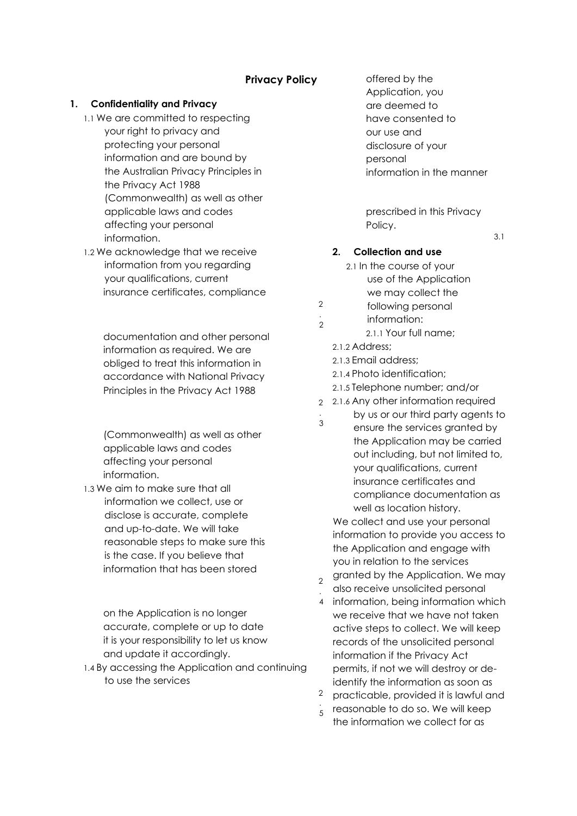# **Privacy Policy**

#### **1. Confidentiality and Privacy**

- 1.1 We are committed to respecting your right to privacy and protecting your personal information and are bound by the Australian Privacy Principles in the Privacy Act 1988 (Commonwealth) as well as other applicable laws and codes affecting your personal information.
- 1.2 We acknowledge that we receive information from you regarding your qualifications, current insurance certificates, compliance

documentation and other personal information as required. We are obliged to treat this information in accordance with National Privacy Principles in the Privacy Act 1988

(Commonwealth) as well as other applicable laws and codes affecting your personal information.

1.3 We aim to make sure that all information we collect, use or disclose is accurate, complete and up-to-date. We will take reasonable steps to make sure this is the case. If you believe that information that has been stored

> on the Application is no longer accurate, complete or up to date it is your responsibility to let us know and update it accordingly.

1.4 By accessing the Application and continuing to use the services

offered by the Application, you are deemed to have consented to our use and disclosure of your personal information in the manner

prescribed in this Privacy Policy.

3.1

## **2. Collection and use**

- 2.1 In the course of your use of the Application we may collect the
- 2 following personal
- . 2 information:
	- 2.1.1 Your full name;
	- 2.1.2 Address;

.

- 2.1.3 Email address;
- 2.1.4 Photo identification;
- 2.1.5 Telephone number; and/or
- 2 2.1.6 Any other information required
- by us or our third party agents to
- 3 ensure the services granted by the Application may be carried out including, but not limited to, your qualifications, current insurance certificates and compliance documentation as well as location history.

We collect and use your personal information to provide you access to the Application and engage with you in relation to the services granted by the Application. We may

- $\overline{2}$ . also receive unsolicited personal
- 4 information, being information which we receive that we have not taken active steps to collect. We will keep records of the unsolicited personal information if the Privacy Act permits, if not we will destroy or deidentify the information as soon as
- 2 . practicable, provided it is lawful and
- $\frac{1}{5}$  reasonable to do so. We will keep the information we collect for as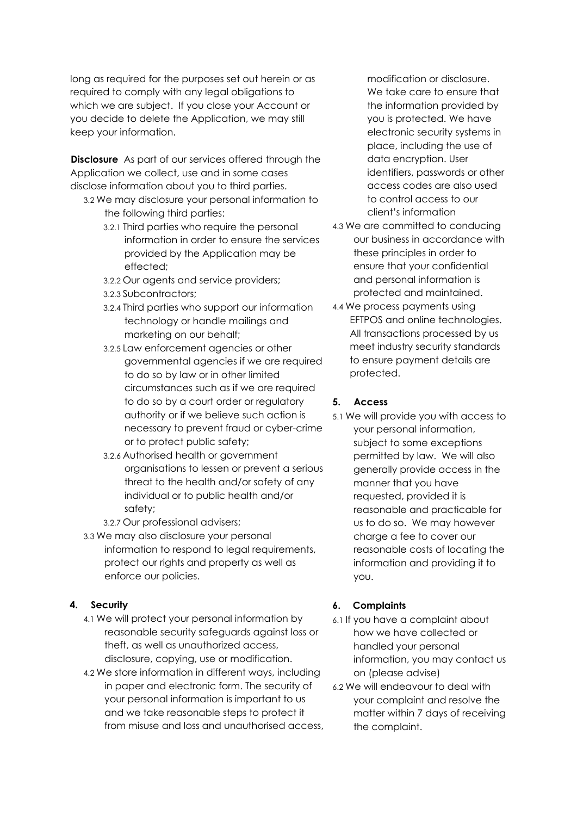long as required for the purposes set out herein or as required to comply with any legal obligations to which we are subject. If you close your Account or you decide to delete the Application, we may still keep your information.

**Disclosure** As part of our services offered through the Application we collect, use and in some cases disclose information about you to third parties.

- 3.2 We may disclosure your personal information to the following third parties:
	- 3.2.1 Third parties who require the personal information in order to ensure the services provided by the Application may be effected;
	- 3.2.2 Our agents and service providers;
	- 3.2.3 Subcontractors;
	- 3.2.4 Third parties who support our information technology or handle mailings and marketing on our behalf;
	- 3.2.5 Law enforcement agencies or other governmental agencies if we are required to do so by law or in other limited circumstances such as if we are required to do so by a court order or regulatory authority or if we believe such action is necessary to prevent fraud or cyber-crime or to protect public safety;
	- 3.2.6 Authorised health or government organisations to lessen or prevent a serious threat to the health and/or safety of any individual or to public health and/or safety;
	- 3.2.7 Our professional advisers;
- 3.3 We may also disclosure your personal information to respond to legal requirements, protect our rights and property as well as enforce our policies.

#### **4. Security**

- 4.1 We will protect your personal information by reasonable security safeguards against loss or theft, as well as unauthorized access, disclosure, copying, use or modification.
- 4.2 We store information in different ways, including in paper and electronic form. The security of your personal information is important to us and we take reasonable steps to protect it from misuse and loss and unauthorised access,

modification or disclosure. We take care to ensure that the information provided by you is protected. We have electronic security systems in place, including the use of data encryption. User identifiers, passwords or other access codes are also used to control access to our client's information

- 4.3 We are committed to conducing our business in accordance with these principles in order to ensure that your confidential and personal information is protected and maintained.
- 4.4 We process payments using EFTPOS and online technologies. All transactions processed by us meet industry security standards to ensure payment details are protected.

## **5. Access**

5.1 We will provide you with access to your personal information, subject to some exceptions permitted by law. We will also generally provide access in the manner that you have requested, provided it is reasonable and practicable for us to do so. We may however charge a fee to cover our reasonable costs of locating the information and providing it to you.

#### **6. Complaints**

- 6.1 If you have a complaint about how we have collected or handled your personal information, you may contact us on (please advise)
- 6.2 We will endeavour to deal with your complaint and resolve the matter within 7 days of receiving the complaint.